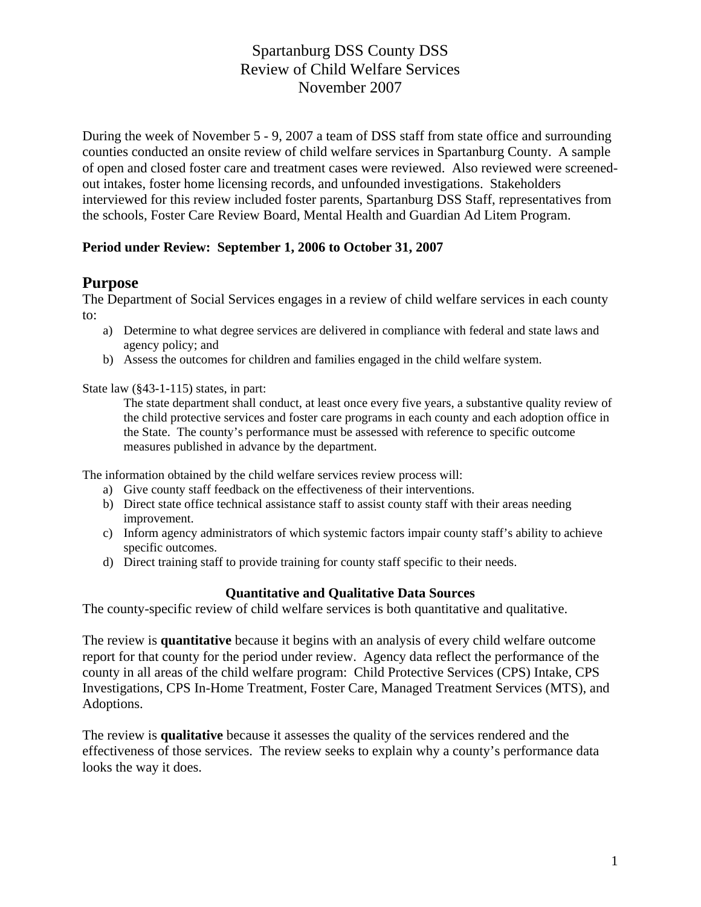During the week of November 5 - 9, 2007 a team of DSS staff from state office and surrounding counties conducted an onsite review of child welfare services in Spartanburg County. A sample of open and closed foster care and treatment cases were reviewed. Also reviewed were screenedout intakes, foster home licensing records, and unfounded investigations. Stakeholders interviewed for this review included foster parents, Spartanburg DSS Staff, representatives from the schools, Foster Care Review Board, Mental Health and Guardian Ad Litem Program.

### **Period under Review: September 1, 2006 to October 31, 2007**

### **Purpose**

The Department of Social Services engages in a review of child welfare services in each county to:

- a) Determine to what degree services are delivered in compliance with federal and state laws and agency policy; and
- b) Assess the outcomes for children and families engaged in the child welfare system.

State law (§43-1-115) states, in part:

The state department shall conduct, at least once every five years, a substantive quality review of the child protective services and foster care programs in each county and each adoption office in the State. The county's performance must be assessed with reference to specific outcome measures published in advance by the department.

The information obtained by the child welfare services review process will:

- a) Give county staff feedback on the effectiveness of their interventions.
- b) Direct state office technical assistance staff to assist county staff with their areas needing improvement.
- c) Inform agency administrators of which systemic factors impair county staff's ability to achieve specific outcomes.
- d) Direct training staff to provide training for county staff specific to their needs.

#### **Quantitative and Qualitative Data Sources**

The county-specific review of child welfare services is both quantitative and qualitative.

The review is **quantitative** because it begins with an analysis of every child welfare outcome report for that county for the period under review. Agency data reflect the performance of the county in all areas of the child welfare program: Child Protective Services (CPS) Intake, CPS Investigations, CPS In-Home Treatment, Foster Care, Managed Treatment Services (MTS), and Adoptions.

The review is **qualitative** because it assesses the quality of the services rendered and the effectiveness of those services. The review seeks to explain why a county's performance data looks the way it does.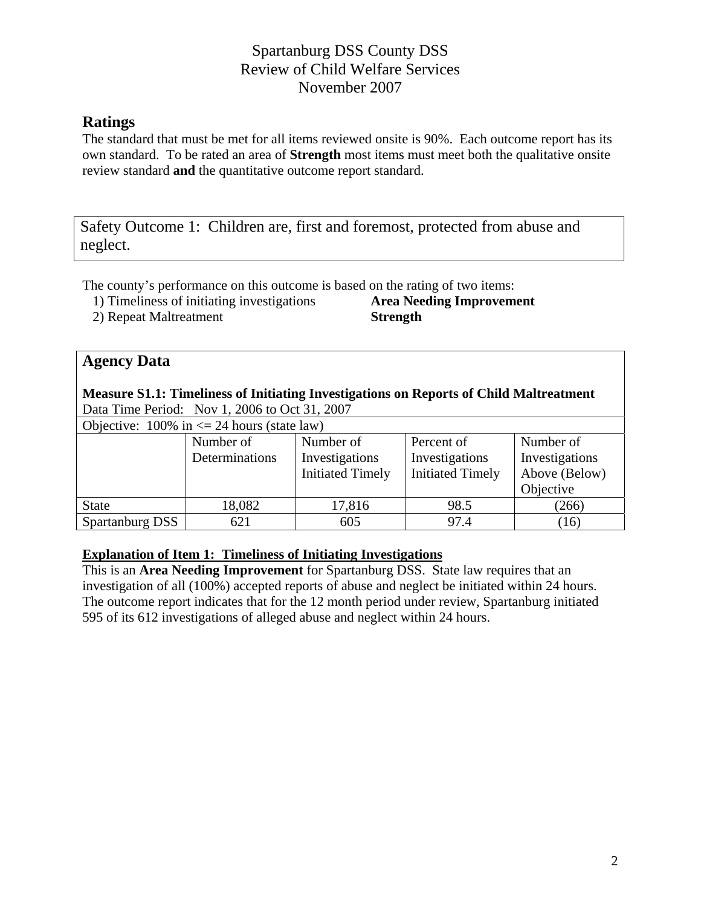# **Ratings**

The standard that must be met for all items reviewed onsite is 90%. Each outcome report has its own standard. To be rated an area of **Strength** most items must meet both the qualitative onsite review standard **and** the quantitative outcome report standard.

Safety Outcome 1: Children are, first and foremost, protected from abuse and neglect.

The county's performance on this outcome is based on the rating of two items:

1) Timeliness of initiating investigations **Area Needing Improvement**

2) Repeat Maltreatment **Strength** 

### **Agency Data**

#### **Measure S1.1: Timeliness of Initiating Investigations on Reports of Child Maltreatment** Data Time Period: Nov 1, 2006 to Oct 31, 2007

Objective:  $100\%$  in  $\leq 24$  hours (state law)

| Investigations |
|----------------|
| Above (Below)  |
|                |
|                |
|                |
|                |

### **Explanation of Item 1: Timeliness of Initiating Investigations**

This is an **Area Needing Improvement** for Spartanburg DSS. State law requires that an investigation of all (100%) accepted reports of abuse and neglect be initiated within 24 hours. The outcome report indicates that for the 12 month period under review, Spartanburg initiated 595 of its 612 investigations of alleged abuse and neglect within 24 hours.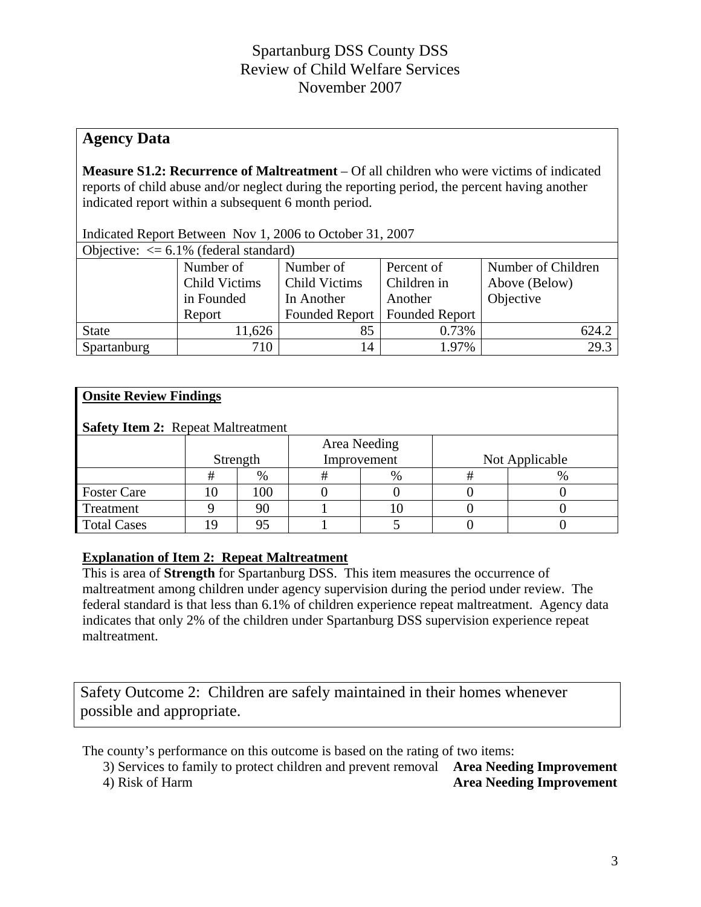### **Agency Data**

**Measure S1.2: Recurrence of Maltreatment** – Of all children who were victims of indicated reports of child abuse and/or neglect during the reporting period, the percent having another indicated report within a subsequent 6 month period.

| Objective: $\leq 6.1\%$ (federal standard) |                      |                      |                                 |               |  |  |  |
|--------------------------------------------|----------------------|----------------------|---------------------------------|---------------|--|--|--|
|                                            | Number of            | Number of Children   |                                 |               |  |  |  |
|                                            | <b>Child Victims</b> | <b>Child Victims</b> | Children in                     | Above (Below) |  |  |  |
|                                            | in Founded           | In Another           | Another                         | Objective     |  |  |  |
|                                            | Report               |                      | Founded Report   Founded Report |               |  |  |  |
| <b>State</b>                               | 11,626               | 85                   | 0.73%                           | 624.2         |  |  |  |
| Spartanburg                                | 710                  | 14                   | 1.97%                           | 29.3          |  |  |  |

Indicated Report Between Nov 1, 2006 to October 31, 2007

### **Onsite Review Findings**

| <b>Safety Item 2: Repeat Maltreatment</b> |          |              |  |             |                |   |  |  |
|-------------------------------------------|----------|--------------|--|-------------|----------------|---|--|--|
|                                           |          | Area Needing |  |             |                |   |  |  |
|                                           | Strength |              |  | Improvement | Not Applicable |   |  |  |
|                                           | #        | $\%$         |  | %           |                | % |  |  |
| <b>Foster Care</b>                        | 10       | 100          |  |             |                |   |  |  |
| Treatment                                 |          |              |  |             |                |   |  |  |
| <b>Total Cases</b>                        |          |              |  |             |                |   |  |  |

### **Explanation of Item 2: Repeat Maltreatment**

This is area of **Strength** for Spartanburg DSS. This item measures the occurrence of maltreatment among children under agency supervision during the period under review. The federal standard is that less than 6.1% of children experience repeat maltreatment. Agency data indicates that only 2% of the children under Spartanburg DSS supervision experience repeat maltreatment.

Safety Outcome 2: Children are safely maintained in their homes whenever possible and appropriate.

The county's performance on this outcome is based on the rating of two items:

| 3) Services to family to protect children and prevent removal Area Needing Improvement |                                 |
|----------------------------------------------------------------------------------------|---------------------------------|
| 4) Risk of Harm                                                                        | <b>Area Needing Improvement</b> |

4) Risk of Harm **Area Needing Improvement**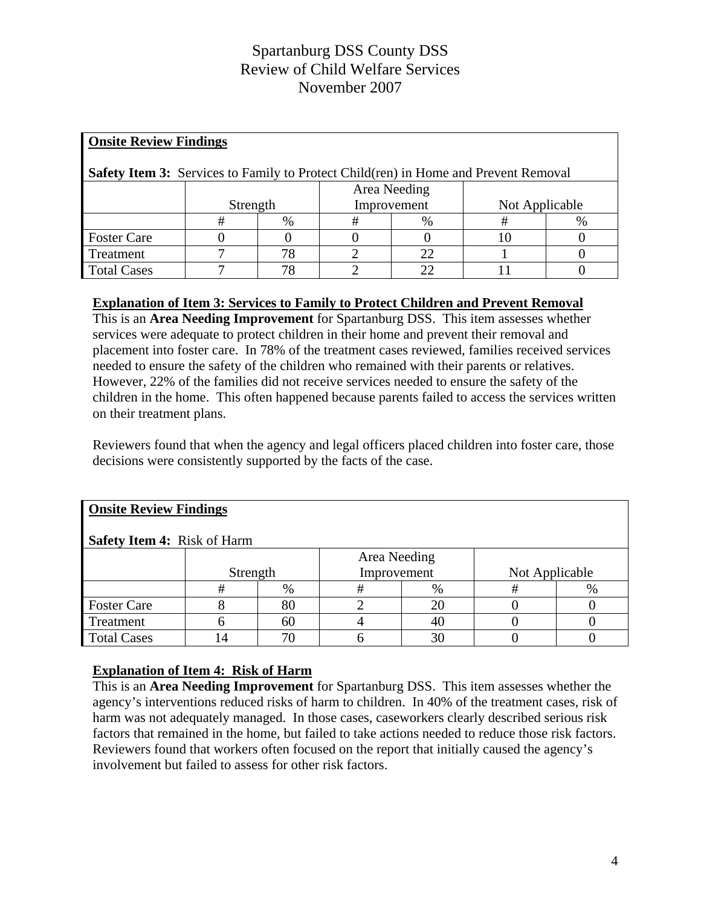| <b>Onsite Review Findings</b>                                                              |          |    |             |              |                |      |  |  |
|--------------------------------------------------------------------------------------------|----------|----|-------------|--------------|----------------|------|--|--|
| <b>Safety Item 3:</b> Services to Family to Protect Child(ren) in Home and Prevent Removal |          |    |             |              |                |      |  |  |
|                                                                                            |          |    |             | Area Needing |                |      |  |  |
|                                                                                            | Strength |    | Improvement |              | Not Applicable |      |  |  |
|                                                                                            | #        | %  | #           | %            |                | $\%$ |  |  |
| <b>Foster Care</b>                                                                         |          |    |             |              |                |      |  |  |
| Treatment                                                                                  |          | 78 |             | 22           |                |      |  |  |
| <b>Total Cases</b>                                                                         |          | 78 |             | 22           |                |      |  |  |

### **Explanation of Item 3: Services to Family to Protect Children and Prevent Removal**

This is an **Area Needing Improvement** for Spartanburg DSS. This item assesses whether services were adequate to protect children in their home and prevent their removal and placement into foster care. In 78% of the treatment cases reviewed, families received services needed to ensure the safety of the children who remained with their parents or relatives. However, 22% of the families did not receive services needed to ensure the safety of the children in the home. This often happened because parents failed to access the services written on their treatment plans.

Reviewers found that when the agency and legal officers placed children into foster care, those decisions were consistently supported by the facts of the case.

| <b>Onsite Review Findings</b><br><b>Safety Item 4: Risk of Harm</b> |          |    |                             |      |                |      |  |  |  |
|---------------------------------------------------------------------|----------|----|-----------------------------|------|----------------|------|--|--|--|
|                                                                     | Strength |    | Area Needing<br>Improvement |      | Not Applicable |      |  |  |  |
|                                                                     | #        | %  | ₩                           | $\%$ |                | $\%$ |  |  |  |
| <b>Foster Care</b>                                                  |          | 80 |                             | 20   |                |      |  |  |  |
| Treatment                                                           |          | 60 |                             | 40   |                |      |  |  |  |
| <b>Total Cases</b>                                                  |          | 70 |                             | 30   |                |      |  |  |  |

### **Explanation of Item 4: Risk of Harm**

This is an **Area Needing Improvement** for Spartanburg DSS. This item assesses whether the agency's interventions reduced risks of harm to children. In 40% of the treatment cases, risk of harm was not adequately managed. In those cases, caseworkers clearly described serious risk factors that remained in the home, but failed to take actions needed to reduce those risk factors. Reviewers found that workers often focused on the report that initially caused the agency's involvement but failed to assess for other risk factors.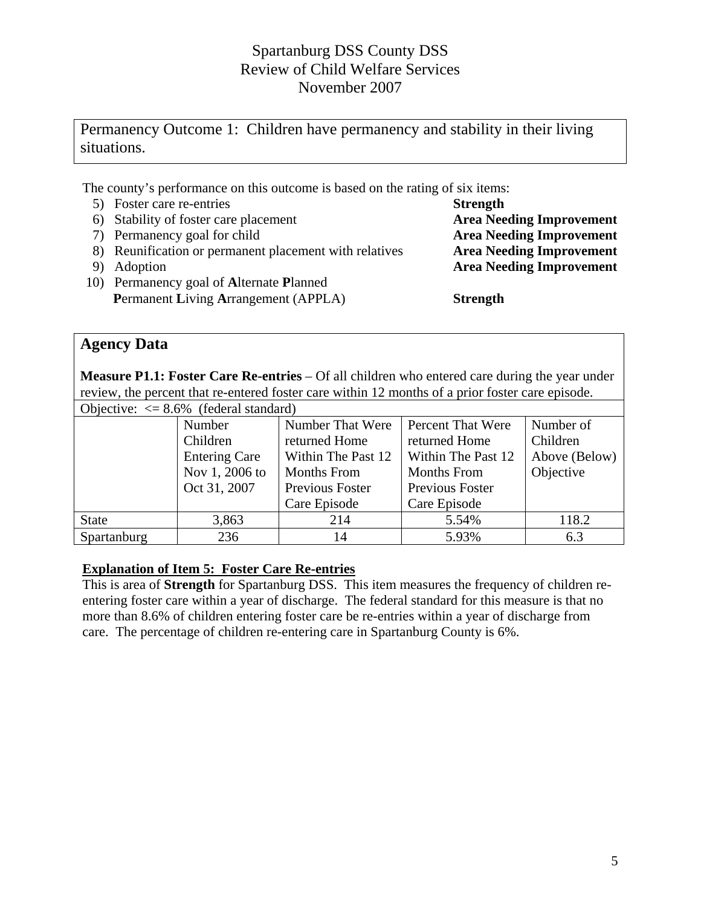# Permanency Outcome 1: Children have permanency and stability in their living situations.

The county's performance on this outcome is based on the rating of six items:

- 5) Foster care re-entries **Strength**
- 6) Stability of foster care placement **Area Needing Improvement**
- 7) Permanency goal for child **Area Needing Improvement**
- 8) Reunification or permanent placement with relatives **Area Needing Improvement**
- 
- 10) Permanency goal of **A**lternate **P**lanned **Permanent Living Arrangement (APPLA) Strength**

9) Adoption **Area Needing Improvement** 

### **Agency Data**

**Measure P1.1: Foster Care Re-entries** – Of all children who entered care during the year under review, the percent that re-entered foster care within 12 months of a prior foster care episode.  $Q \subseteq Q$  (foderal standard)

| Objective: $\leq 8.6\%$ (regeral standard) |                                                                  |                    |                          |           |  |  |  |
|--------------------------------------------|------------------------------------------------------------------|--------------------|--------------------------|-----------|--|--|--|
|                                            | Number                                                           | Number That Were   | <b>Percent That Were</b> | Number of |  |  |  |
|                                            | Children<br>returned Home<br>returned Home                       |                    |                          | Children  |  |  |  |
|                                            | Within The Past 12<br>Within The Past 12<br><b>Entering Care</b> |                    |                          |           |  |  |  |
|                                            | Nov 1, 2006 to                                                   | <b>Months From</b> | <b>Months From</b>       | Objective |  |  |  |
|                                            | Oct 31, 2007                                                     | Previous Foster    | Previous Foster          |           |  |  |  |
|                                            |                                                                  | Care Episode       | Care Episode             |           |  |  |  |
| <b>State</b>                               | 3,863                                                            | 214                | 5.54%                    | 118.2     |  |  |  |
| Spartanburg                                | 236                                                              | 14                 | 5.93%                    | 6.3       |  |  |  |

### **Explanation of Item 5: Foster Care Re-entries**

This is area of **Strength** for Spartanburg DSS. This item measures the frequency of children reentering foster care within a year of discharge. The federal standard for this measure is that no more than 8.6% of children entering foster care be re-entries within a year of discharge from care. The percentage of children re-entering care in Spartanburg County is 6%.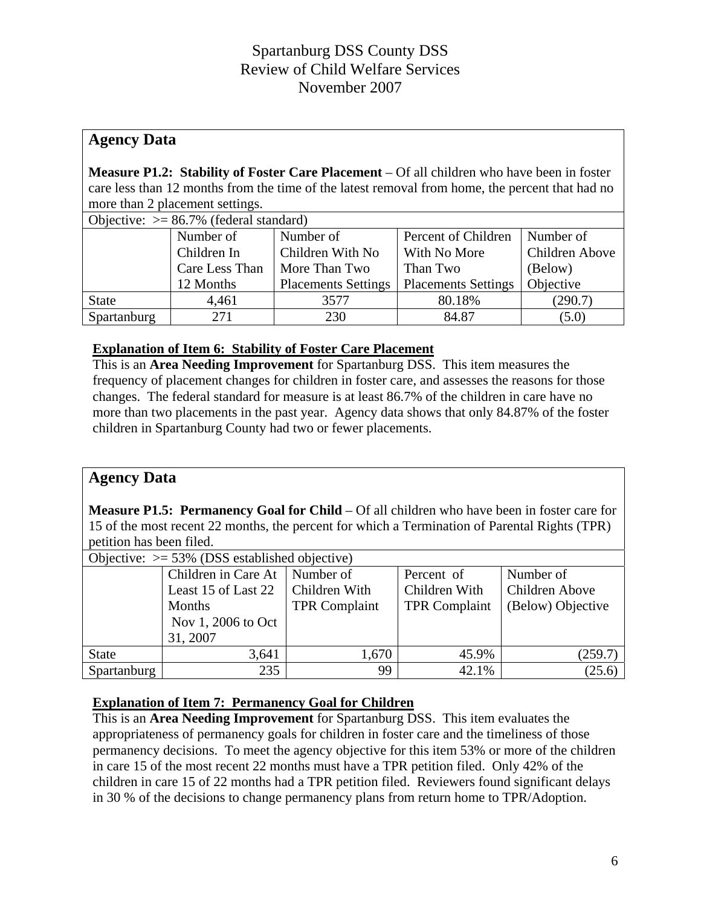## **Agency Data**

**Measure P1.2: Stability of Foster Care Placement** – Of all children who have been in foster care less than 12 months from the time of the latest removal from home, the percent that had no more than 2 placement settings.

| Objective: $> = 86.7\%$ (federal standard) |                                 |                            |                            |                |  |  |  |
|--------------------------------------------|---------------------------------|----------------------------|----------------------------|----------------|--|--|--|
|                                            | Number of                       | Number of                  | Percent of Children        | Number of      |  |  |  |
|                                            | Children With No<br>Children In |                            | With No More               | Children Above |  |  |  |
|                                            | Care Less Than                  | More Than Two              | Than Two                   | (Below)        |  |  |  |
|                                            | 12 Months                       | <b>Placements Settings</b> | <b>Placements Settings</b> | Objective      |  |  |  |
| <b>State</b>                               | 4,461                           | 3577                       | 80.18%                     | (290.7)        |  |  |  |
| Spartanburg                                | 271                             | 230                        | 84.87                      | (5.0)          |  |  |  |

### **Explanation of Item 6: Stability of Foster Care Placement**

This is an **Area Needing Improvement** for Spartanburg DSS. This item measures the frequency of placement changes for children in foster care, and assesses the reasons for those changes. The federal standard for measure is at least 86.7% of the children in care have no more than two placements in the past year. Agency data shows that only 84.87% of the foster children in Spartanburg County had two or fewer placements.

### **Agency Data**

**Measure P1.5: Permanency Goal for Child** – Of all children who have been in foster care for 15 of the most recent 22 months, the percent for which a Termination of Parental Rights (TPR) petition has been filed.

| Objective: $> = 53\%$ (DSS established objective) |                     |                      |                      |                   |  |  |  |
|---------------------------------------------------|---------------------|----------------------|----------------------|-------------------|--|--|--|
|                                                   | Children in Care At | Number of            | Percent of           | Number of         |  |  |  |
|                                                   | Least 15 of Last 22 | Children With        | Children With        | Children Above    |  |  |  |
|                                                   | Months              | <b>TPR Complaint</b> | <b>TPR Complaint</b> | (Below) Objective |  |  |  |
|                                                   | Nov 1, 2006 to Oct  |                      |                      |                   |  |  |  |
|                                                   | 31, 2007            |                      |                      |                   |  |  |  |
| <b>State</b>                                      | 3,641               | 1,670                | 45.9%                | (259.7)           |  |  |  |
| Spartanburg                                       | 235                 | 99                   | 42.1%                | (25.6)            |  |  |  |

### **Explanation of Item 7: Permanency Goal for Children**

This is an **Area Needing Improvement** for Spartanburg DSS. This item evaluates the appropriateness of permanency goals for children in foster care and the timeliness of those permanency decisions. To meet the agency objective for this item 53% or more of the children in care 15 of the most recent 22 months must have a TPR petition filed. Only 42% of the children in care 15 of 22 months had a TPR petition filed. Reviewers found significant delays in 30 % of the decisions to change permanency plans from return home to TPR/Adoption.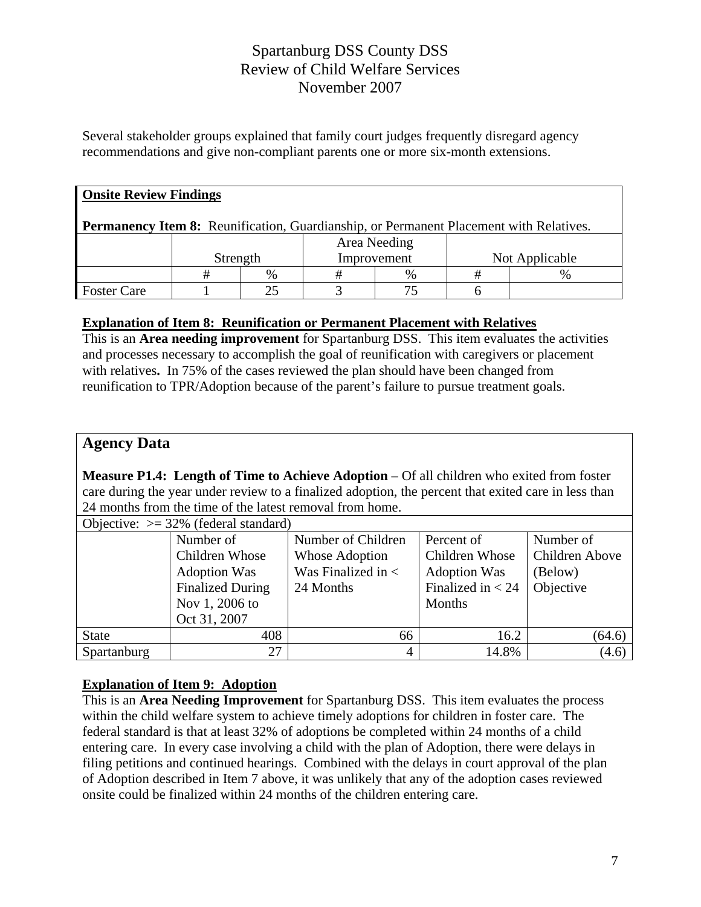Several stakeholder groups explained that family court judges frequently disregard agency recommendations and give non-compliant parents one or more six-month extensions.

| <b>Onsite Review Findings</b>                                                          |          |      |             |              |  |                |  |  |
|----------------------------------------------------------------------------------------|----------|------|-------------|--------------|--|----------------|--|--|
| Permanency Item 8: Reunification, Guardianship, or Permanent Placement with Relatives. |          |      |             |              |  |                |  |  |
|                                                                                        |          |      |             | Area Needing |  |                |  |  |
|                                                                                        | Strength |      | Improvement |              |  | Not Applicable |  |  |
|                                                                                        | #        | $\%$ |             | $\%$         |  |                |  |  |
| <b>Foster Care</b>                                                                     |          | 25   |             |              |  |                |  |  |

### **Explanation of Item 8: Reunification or Permanent Placement with Relatives**

This is an **Area needing improvement** for Spartanburg DSS. This item evaluates the activities and processes necessary to accomplish the goal of reunification with caregivers or placement with relatives**.** In 75% of the cases reviewed the plan should have been changed from reunification to TPR/Adoption because of the parent's failure to pursue treatment goals.

### **Agency Data**

**Measure P1.4: Length of Time to Achieve Adoption** – Of all children who exited from foster care during the year under review to a finalized adoption, the percent that exited care in less than 24 months from the time of the latest removal from home.

| Objective: $\ge$ 32% (federal standard) |                         |                        |                     |                |  |  |  |  |
|-----------------------------------------|-------------------------|------------------------|---------------------|----------------|--|--|--|--|
|                                         | Number of               | Number of Children     | Percent of          | Number of      |  |  |  |  |
|                                         | Children Whose          | Whose Adoption         | Children Whose      | Children Above |  |  |  |  |
|                                         | <b>Adoption Was</b>     | Was Finalized in $\lt$ | <b>Adoption Was</b> | (Below)        |  |  |  |  |
|                                         | <b>Finalized During</b> | 24 Months              | Finalized in $<$ 24 | Objective      |  |  |  |  |
|                                         | Nov 1, 2006 to          |                        | Months              |                |  |  |  |  |
|                                         | Oct 31, 2007            |                        |                     |                |  |  |  |  |
| <b>State</b>                            | 408                     | 66                     | 16.2                | (64.6)         |  |  |  |  |
| Spartanburg                             | 27                      | 4                      | 14.8%               | (4.6)          |  |  |  |  |

### **Explanation of Item 9: Adoption**

This is an **Area Needing Improvement** for Spartanburg DSS. This item evaluates the process within the child welfare system to achieve timely adoptions for children in foster care. The federal standard is that at least 32% of adoptions be completed within 24 months of a child entering care. In every case involving a child with the plan of Adoption, there were delays in filing petitions and continued hearings. Combined with the delays in court approval of the plan of Adoption described in Item 7 above, it was unlikely that any of the adoption cases reviewed onsite could be finalized within 24 months of the children entering care.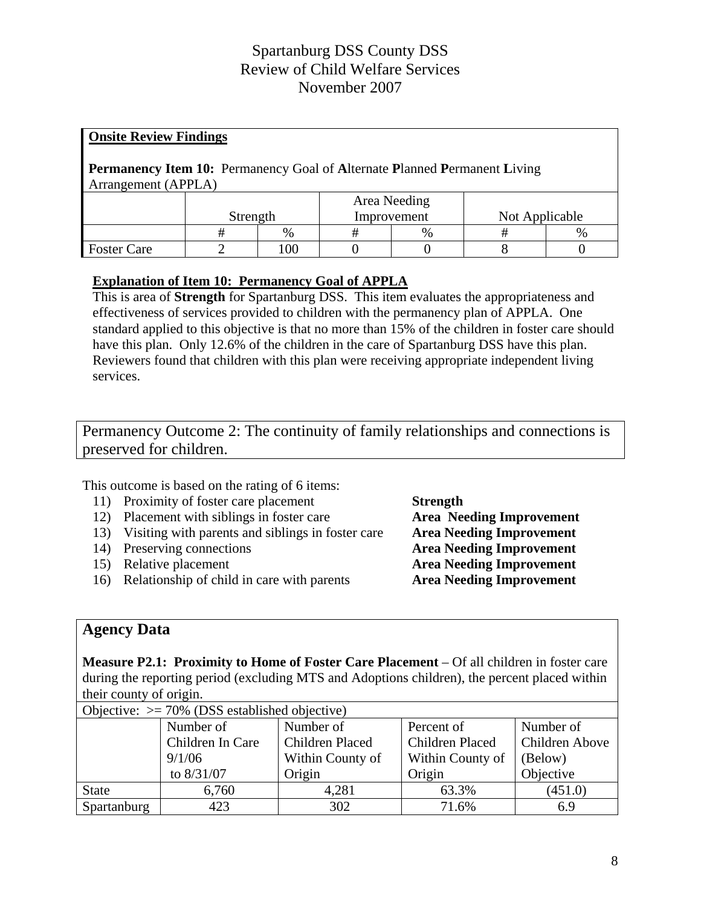| <b>Onsite Review Findings</b>                                                    |          |      |             |              |                |      |  |  |
|----------------------------------------------------------------------------------|----------|------|-------------|--------------|----------------|------|--|--|
| <b>Permanency Item 10:</b> Permanency Goal of Alternate Planned Permanent Living |          |      |             |              |                |      |  |  |
| Arrangement (APPLA)                                                              |          |      |             |              |                |      |  |  |
|                                                                                  |          |      |             | Area Needing |                |      |  |  |
|                                                                                  | Strength |      | Improvement |              | Not Applicable |      |  |  |
|                                                                                  | #        | $\%$ | #           | $\%$         | #              | $\%$ |  |  |
| <b>Foster Care</b>                                                               |          | 100  |             |              |                |      |  |  |

### **Explanation of Item 10: Permanency Goal of APPLA**

This is area of **Strength** for Spartanburg DSS. This item evaluates the appropriateness and effectiveness of services provided to children with the permanency plan of APPLA. One standard applied to this objective is that no more than 15% of the children in foster care should have this plan. Only 12.6% of the children in the care of Spartanburg DSS have this plan. Reviewers found that children with this plan were receiving appropriate independent living services.

Permanency Outcome 2: The continuity of family relationships and connections is preserved for children.

This outcome is based on the rating of 6 items:

- 11) Proximity of foster care placement **Strength**
- 12) Placement with siblings in foster care **Area Needing Improvement**
- 13) Visiting with parents and siblings in foster care **Area Needing Improvement**
- 
- 
- 16) Relationship of child in care with parents **Area Needing Improvement**

14) Preserving connections **Area Needing Improvement** 15) Relative placement **Area Needing Improvement**

### **Agency Data**

**Measure P2.1: Proximity to Home of Foster Care Placement** – Of all children in foster care during the reporting period (excluding MTS and Adoptions children), the percent placed within their county of origin.

| Objective: $\geq$ 70% (DSS established objective) |                  |                        |                        |                |  |  |  |  |
|---------------------------------------------------|------------------|------------------------|------------------------|----------------|--|--|--|--|
|                                                   | Number of        | Number of              | Percent of             | Number of      |  |  |  |  |
|                                                   | Children In Care | <b>Children Placed</b> | <b>Children Placed</b> | Children Above |  |  |  |  |
|                                                   | 9/1/06           | Within County of       | Within County of       | (Below)        |  |  |  |  |
|                                                   | to $8/31/07$     | Origin                 | Origin                 | Objective      |  |  |  |  |
| <b>State</b>                                      | 6,760            | 4,281                  | 63.3%                  | (451.0)        |  |  |  |  |
| Spartanburg                                       | 423              | 302                    | 71.6%                  | 6.9            |  |  |  |  |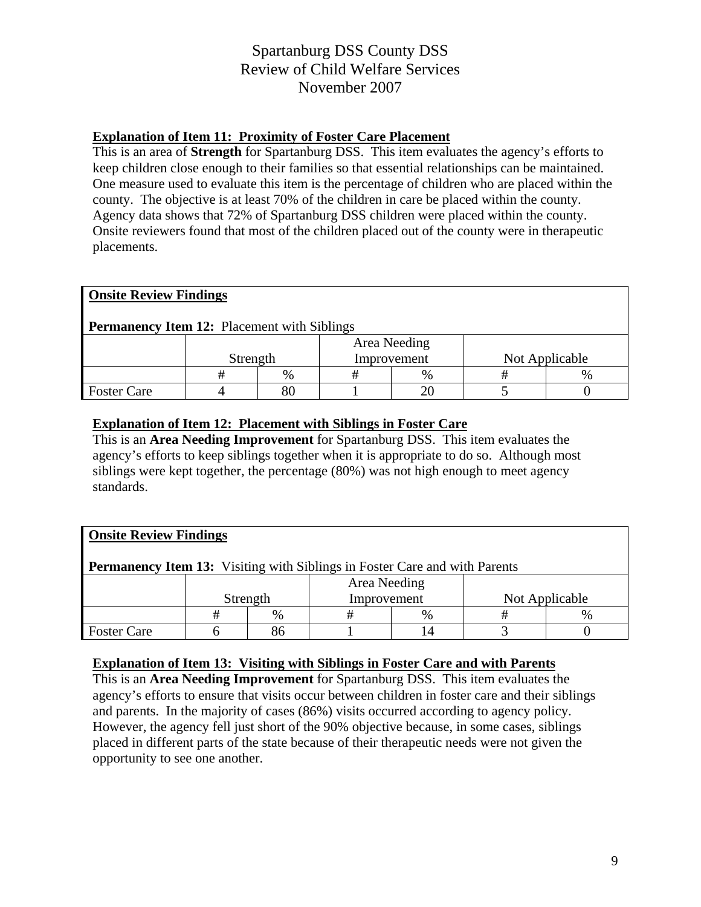### **Explanation of Item 11: Proximity of Foster Care Placement**

This is an area of **Strength** for Spartanburg DSS. This item evaluates the agency's efforts to keep children close enough to their families so that essential relationships can be maintained. One measure used to evaluate this item is the percentage of children who are placed within the county. The objective is at least 70% of the children in care be placed within the county. Agency data shows that 72% of Spartanburg DSS children were placed within the county. Onsite reviewers found that most of the children placed out of the county were in therapeutic placements.

| <b>Onsite Review Findings</b>                      |          |      |             |              |                |               |  |  |
|----------------------------------------------------|----------|------|-------------|--------------|----------------|---------------|--|--|
| <b>Permanency Item 12:</b> Placement with Siblings |          |      |             |              |                |               |  |  |
|                                                    |          |      |             | Area Needing |                |               |  |  |
|                                                    | Strength |      | Improvement |              | Not Applicable |               |  |  |
|                                                    | #        | $\%$ |             | %            |                | $\frac{0}{0}$ |  |  |
| <b>Foster Care</b>                                 |          | 80   |             |              |                |               |  |  |

### **Explanation of Item 12: Placement with Siblings in Foster Care**

This is an **Area Needing Improvement** for Spartanburg DSS. This item evaluates the agency's efforts to keep siblings together when it is appropriate to do so. Although most siblings were kept together, the percentage (80%) was not high enough to meet agency standards.

| <b>Onsite Review Findings</b>                                                     |              |      |             |   |                |      |  |  |
|-----------------------------------------------------------------------------------|--------------|------|-------------|---|----------------|------|--|--|
| <b>Permanency Item 13:</b> Visiting with Siblings in Foster Care and with Parents |              |      |             |   |                |      |  |  |
|                                                                                   | Area Needing |      |             |   |                |      |  |  |
|                                                                                   | Strength     |      | Improvement |   | Not Applicable |      |  |  |
|                                                                                   | #            | $\%$ | #           | % | #              | $\%$ |  |  |
| <b>Foster Care</b>                                                                |              | 86   |             |   |                |      |  |  |

#### **Explanation of Item 13: Visiting with Siblings in Foster Care and with Parents**

This is an **Area Needing Improvement** for Spartanburg DSS. This item evaluates the agency's efforts to ensure that visits occur between children in foster care and their siblings and parents. In the majority of cases (86%) visits occurred according to agency policy. However, the agency fell just short of the 90% objective because, in some cases, siblings placed in different parts of the state because of their therapeutic needs were not given the opportunity to see one another.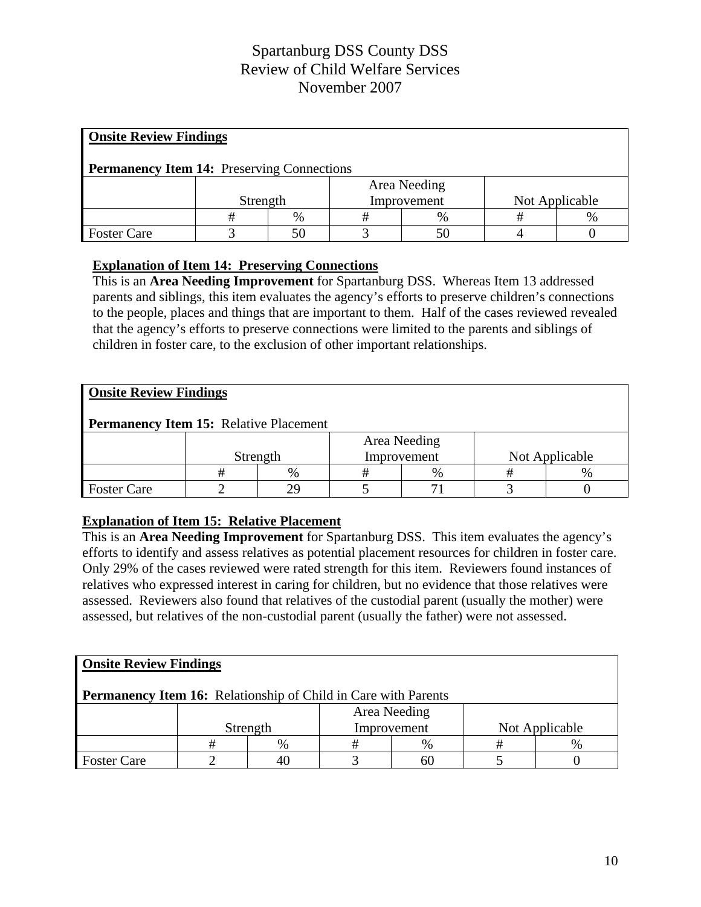| <b>Onsite Review Findings</b>                     |          |      |             |               |                |               |  |  |
|---------------------------------------------------|----------|------|-------------|---------------|----------------|---------------|--|--|
| <b>Permanency Item 14:</b> Preserving Connections |          |      |             |               |                |               |  |  |
|                                                   |          |      |             | Area Needing  |                |               |  |  |
|                                                   | Strength |      | Improvement |               | Not Applicable |               |  |  |
|                                                   | #        | $\%$ | #           | $\frac{0}{0}$ |                | $\frac{0}{0}$ |  |  |
| <b>Foster Care</b>                                |          |      |             |               |                |               |  |  |

### **Explanation of Item 14: Preserving Connections**

This is an **Area Needing Improvement** for Spartanburg DSS. Whereas Item 13 addressed parents and siblings, this item evaluates the agency's efforts to preserve children's connections to the people, places and things that are important to them. Half of the cases reviewed revealed that the agency's efforts to preserve connections were limited to the parents and siblings of children in foster care, to the exclusion of other important relationships.

| <b>Onsite Review Findings</b>          |          |      |             |              |                |  |  |  |
|----------------------------------------|----------|------|-------------|--------------|----------------|--|--|--|
| Permanency Item 15: Relative Placement |          |      |             |              |                |  |  |  |
|                                        |          |      |             | Area Needing |                |  |  |  |
|                                        | Strength |      | Improvement |              | Not Applicable |  |  |  |
|                                        |          | $\%$ | #           | %            | Ħ              |  |  |  |
| <b>Foster Care</b>                     |          |      |             |              |                |  |  |  |

### **Explanation of Item 15: Relative Placement**

This is an **Area Needing Improvement** for Spartanburg DSS. This item evaluates the agency's efforts to identify and assess relatives as potential placement resources for children in foster care. Only 29% of the cases reviewed were rated strength for this item. Reviewers found instances of relatives who expressed interest in caring for children, but no evidence that those relatives were assessed. Reviewers also found that relatives of the custodial parent (usually the mother) were assessed, but relatives of the non-custodial parent (usually the father) were not assessed.

| <b>Onsite Review Findings</b>                                         |          |      |              |             |                |   |  |  |
|-----------------------------------------------------------------------|----------|------|--------------|-------------|----------------|---|--|--|
| <b>Permanency Item 16:</b> Relationship of Child in Care with Parents |          |      |              |             |                |   |  |  |
|                                                                       |          |      | Area Needing |             |                |   |  |  |
|                                                                       | Strength |      |              | Improvement | Not Applicable |   |  |  |
|                                                                       |          | $\%$ |              | %           |                | % |  |  |
| <b>Foster Care</b>                                                    |          | 40   |              | 60          |                |   |  |  |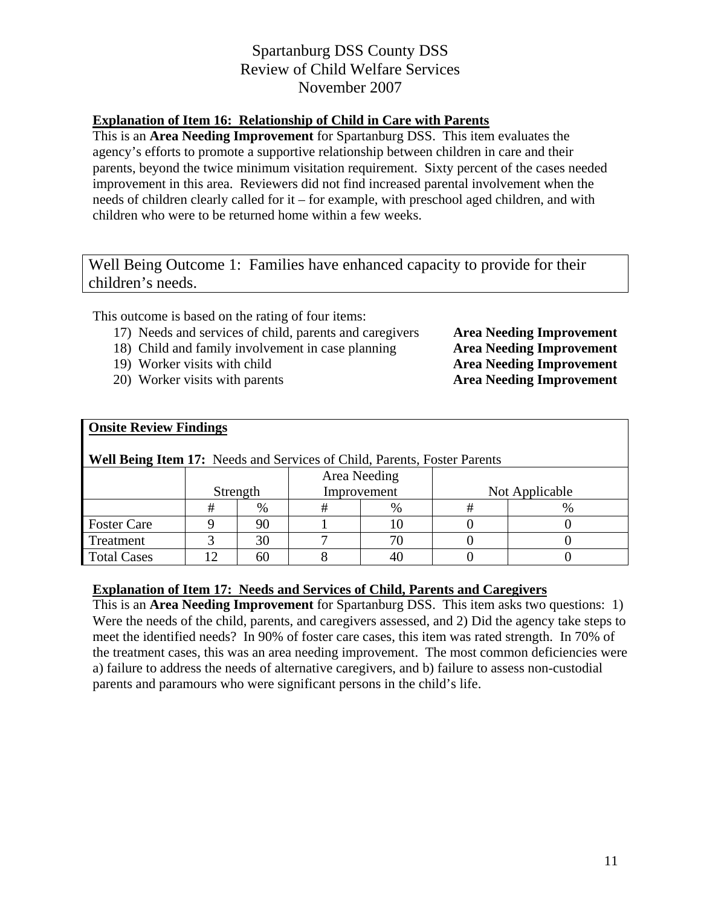### **Explanation of Item 16: Relationship of Child in Care with Parents**

This is an **Area Needing Improvement** for Spartanburg DSS. This item evaluates the agency's efforts to promote a supportive relationship between children in care and their parents, beyond the twice minimum visitation requirement. Sixty percent of the cases needed improvement in this area. Reviewers did not find increased parental involvement when the needs of children clearly called for it – for example, with preschool aged children, and with children who were to be returned home within a few weeks.

Well Being Outcome 1: Families have enhanced capacity to provide for their children's needs.

This outcome is based on the rating of four items:

- 17) Needs and services of child, parents and caregivers **Area Needing Improvement**
- 18) Child and family involvement in case planning **Area Needing Improvement**
- 
- 20) Worker visits with parents **Area Needing Improvement**

19) Worker visits with child **Area Needing Improvement**

| <b>Onsite Review Findings</b>                                                   |          |      |             |              |                |      |  |  |
|---------------------------------------------------------------------------------|----------|------|-------------|--------------|----------------|------|--|--|
| <b>Well Being Item 17:</b> Needs and Services of Child, Parents, Foster Parents |          |      |             |              |                |      |  |  |
|                                                                                 |          |      |             | Area Needing |                |      |  |  |
|                                                                                 | Strength |      | Improvement |              | Not Applicable |      |  |  |
|                                                                                 | #        | $\%$ |             | %            |                | $\%$ |  |  |
| <b>Foster Care</b>                                                              |          | 90   |             |              |                |      |  |  |
| Treatment                                                                       |          | 30   |             |              |                |      |  |  |
| <b>Total Cases</b>                                                              | <u>ာ</u> | 60   |             | 40           |                |      |  |  |

### **Explanation of Item 17: Needs and Services of Child, Parents and Caregivers**

This is an **Area Needing Improvement** for Spartanburg DSS. This item asks two questions: 1) Were the needs of the child, parents, and caregivers assessed, and 2) Did the agency take steps to meet the identified needs? In 90% of foster care cases, this item was rated strength. In 70% of the treatment cases, this was an area needing improvement. The most common deficiencies were a) failure to address the needs of alternative caregivers, and b) failure to assess non-custodial parents and paramours who were significant persons in the child's life.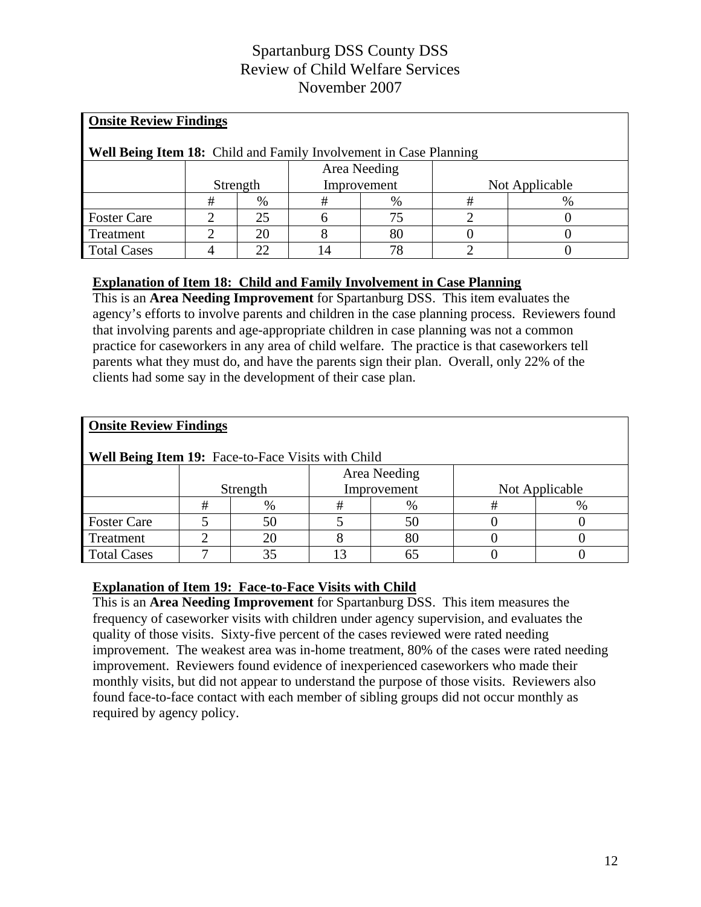| <b>Onsite Review Findings</b>                                     |          |    |             |              |                |      |  |  |
|-------------------------------------------------------------------|----------|----|-------------|--------------|----------------|------|--|--|
| Well Being Item 18: Child and Family Involvement in Case Planning |          |    |             |              |                |      |  |  |
|                                                                   |          |    |             | Area Needing |                |      |  |  |
|                                                                   | Strength |    | Improvement |              | Not Applicable |      |  |  |
|                                                                   | #        | %  | #           | %            | #              | $\%$ |  |  |
| <b>Foster Care</b>                                                |          | 25 |             | 75           |                |      |  |  |
| Treatment                                                         |          | 20 |             | 80           |                |      |  |  |
| <b>Total Cases</b>                                                |          | つつ |             | 78           |                |      |  |  |

### **Explanation of Item 18: Child and Family Involvement in Case Planning**

This is an **Area Needing Improvement** for Spartanburg DSS. This item evaluates the agency's efforts to involve parents and children in the case planning process. Reviewers found that involving parents and age-appropriate children in case planning was not a common practice for caseworkers in any area of child welfare. The practice is that caseworkers tell parents what they must do, and have the parents sign their plan. Overall, only 22% of the clients had some say in the development of their case plan.

| <b>Onsite Review Findings</b>                      |          |      |  |              |                |      |  |  |  |
|----------------------------------------------------|----------|------|--|--------------|----------------|------|--|--|--|
| Well Being Item 19: Face-to-Face Visits with Child |          |      |  |              |                |      |  |  |  |
|                                                    |          |      |  | Area Needing |                |      |  |  |  |
|                                                    | Strength |      |  | Improvement  | Not Applicable |      |  |  |  |
|                                                    | #        | $\%$ |  | %            | #              | $\%$ |  |  |  |
| <b>Foster Care</b>                                 |          | 50   |  | 50           |                |      |  |  |  |
| Treatment                                          |          | 20   |  | 80           |                |      |  |  |  |
| <b>Total Cases</b>                                 |          | 35   |  | 65           |                |      |  |  |  |

### **Explanation of Item 19: Face-to-Face Visits with Child**

This is an **Area Needing Improvement** for Spartanburg DSS.This item measures the frequency of caseworker visits with children under agency supervision, and evaluates the quality of those visits. Sixty-five percent of the cases reviewed were rated needing improvement. The weakest area was in-home treatment, 80% of the cases were rated needing improvement. Reviewers found evidence of inexperienced caseworkers who made their monthly visits, but did not appear to understand the purpose of those visits. Reviewers also found face-to-face contact with each member of sibling groups did not occur monthly as required by agency policy.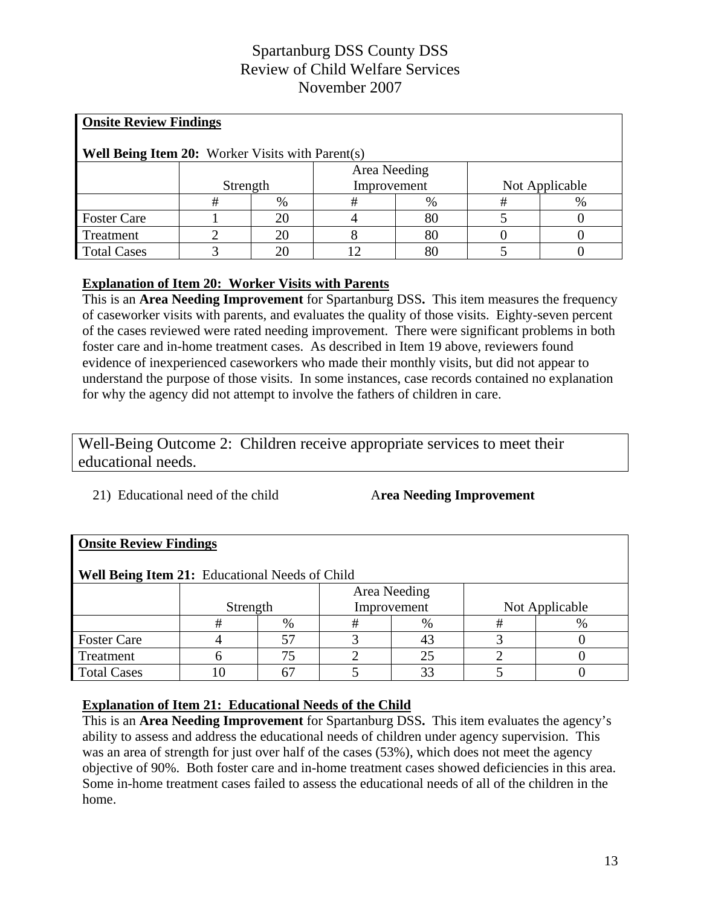| <b>Onsite Review Findings</b>                           |          |    |              |      |   |                |  |  |  |
|---------------------------------------------------------|----------|----|--------------|------|---|----------------|--|--|--|
| <b>Well Being Item 20:</b> Worker Visits with Parent(s) |          |    |              |      |   |                |  |  |  |
|                                                         |          |    | Area Needing |      |   |                |  |  |  |
|                                                         | Strength |    | Improvement  |      |   | Not Applicable |  |  |  |
|                                                         | #        | %  | #            | $\%$ | # | %              |  |  |  |
| <b>Foster Care</b>                                      |          | 20 |              | 80   |   |                |  |  |  |
| Treatment                                               |          | 20 |              | 80   |   |                |  |  |  |
| <b>Total Cases</b>                                      |          | 20 |              | 80   |   |                |  |  |  |

### **Explanation of Item 20: Worker Visits with Parents**

This is an **Area Needing Improvement** for Spartanburg DSS**.** This item measures the frequency of caseworker visits with parents, and evaluates the quality of those visits. Eighty-seven percent of the cases reviewed were rated needing improvement. There were significant problems in both foster care and in-home treatment cases. As described in Item 19 above, reviewers found evidence of inexperienced caseworkers who made their monthly visits, but did not appear to understand the purpose of those visits. In some instances, case records contained no explanation for why the agency did not attempt to involve the fathers of children in care.

Well-Being Outcome 2: Children receive appropriate services to meet their educational needs.

21) Educational need of the child A**rea Needing Improvement**

| <b>Onsite Review Findings</b>                  |          |      |              |      |                |      |  |  |  |
|------------------------------------------------|----------|------|--------------|------|----------------|------|--|--|--|
| Well Being Item 21: Educational Needs of Child |          |      |              |      |                |      |  |  |  |
|                                                |          |      | Area Needing |      |                |      |  |  |  |
|                                                | Strength |      | Improvement  |      | Not Applicable |      |  |  |  |
|                                                | #        | $\%$ | #            | $\%$ |                | $\%$ |  |  |  |
| <b>Foster Care</b>                             |          | 57   |              |      |                |      |  |  |  |
| Treatment                                      |          | 75   |              | 25   |                |      |  |  |  |
| <b>Total Cases</b>                             |          |      |              | 33   |                |      |  |  |  |

### **Explanation of Item 21: Educational Needs of the Child**

This is an **Area Needing Improvement** for Spartanburg DSS**.** This item evaluates the agency's ability to assess and address the educational needs of children under agency supervision. This was an area of strength for just over half of the cases (53%), which does not meet the agency objective of 90%. Both foster care and in-home treatment cases showed deficiencies in this area. Some in-home treatment cases failed to assess the educational needs of all of the children in the home.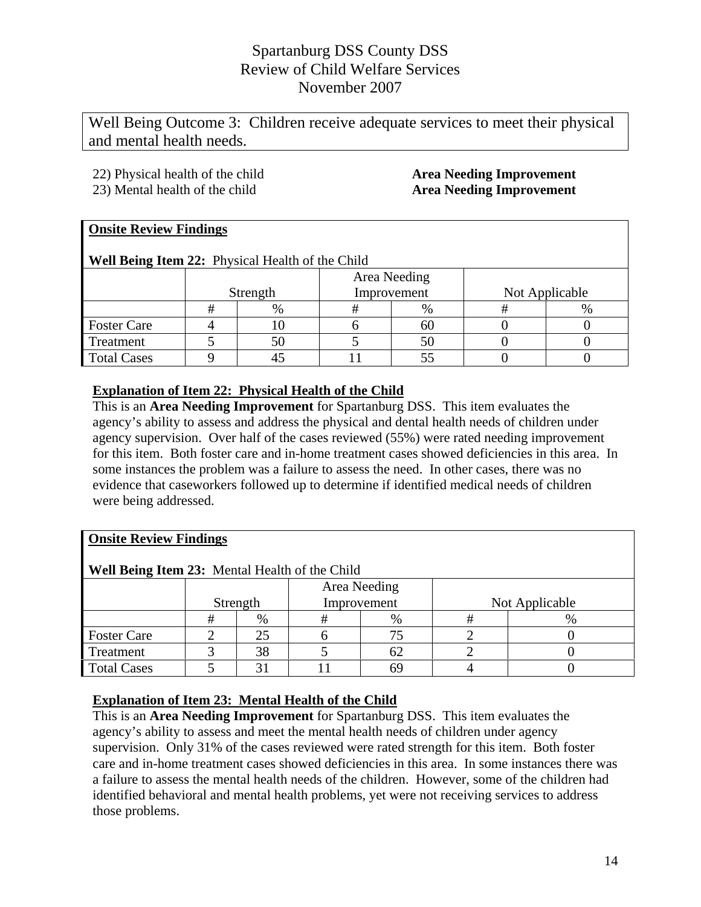Well Being Outcome 3: Children receive adequate services to meet their physical and mental health needs.

- 22) Physical health of the child **Area Needing Improvement**
- 23) Mental health of the child **Area Needing Improvement**

### **Onsite Review Findings**

**Well Being Item 22:** Physical Health of the Child

|                    | Strength |      | Area Needing<br>Improvement | Not Applicable |  |  |
|--------------------|----------|------|-----------------------------|----------------|--|--|
|                    |          | $\%$ | $\%$                        |                |  |  |
| <b>Foster Care</b> |          |      | nu.                         |                |  |  |
| Treatment          |          | 50   |                             |                |  |  |
| <b>Total Cases</b> |          |      |                             |                |  |  |

### **Explanation of Item 22: Physical Health of the Child**

This is an **Area Needing Improvement** for Spartanburg DSS.This item evaluates the agency's ability to assess and address the physical and dental health needs of children under agency supervision. Over half of the cases reviewed (55%) were rated needing improvement for this item. Both foster care and in-home treatment cases showed deficiencies in this area. In some instances the problem was a failure to assess the need. In other cases, there was no evidence that caseworkers followed up to determine if identified medical needs of children were being addressed.

### **Onsite Review Findings**

| Well Being Item 23: Mental Health of the Child |          |      |              |      |                |  |  |
|------------------------------------------------|----------|------|--------------|------|----------------|--|--|
|                                                |          |      | Area Needing |      |                |  |  |
|                                                | Strength |      | Improvement  |      | Not Applicable |  |  |
|                                                |          | $\%$ |              | $\%$ |                |  |  |
| <b>Foster Care</b>                             |          | 25   |              | 75   |                |  |  |
| Treatment                                      |          | 38   |              | 62   |                |  |  |
| <b>Total Cases</b>                             |          |      |              | 69   |                |  |  |

### **Explanation of Item 23: Mental Health of the Child**

This is an **Area Needing Improvement** for Spartanburg DSS. This item evaluates the agency's ability to assess and meet the mental health needs of children under agency supervision. Only 31% of the cases reviewed were rated strength for this item. Both foster care and in-home treatment cases showed deficiencies in this area. In some instances there was a failure to assess the mental health needs of the children. However, some of the children had identified behavioral and mental health problems, yet were not receiving services to address those problems.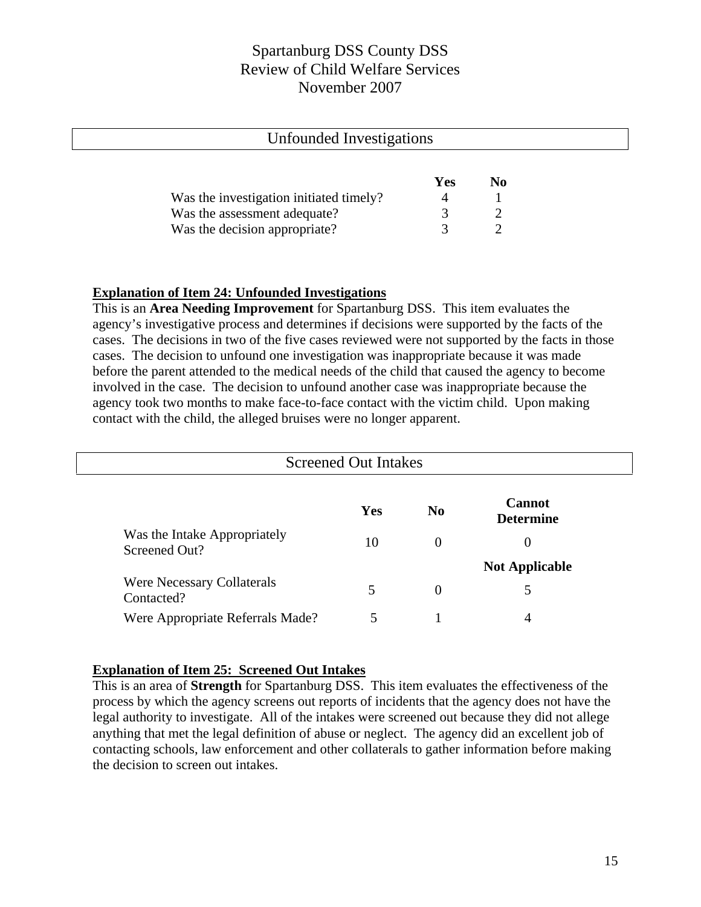| Unfounded Investigations                |     |                |  |
|-----------------------------------------|-----|----------------|--|
|                                         |     |                |  |
|                                         | Yes | N <sub>0</sub> |  |
| Was the investigation initiated timely? |     |                |  |
| Was the assessment adequate?            |     |                |  |
| Was the decision appropriate?           |     |                |  |

#### **Explanation of Item 24: Unfounded Investigations**

This is an **Area Needing Improvement** for Spartanburg DSS. This item evaluates the agency's investigative process and determines if decisions were supported by the facts of the cases. The decisions in two of the five cases reviewed were not supported by the facts in those cases. The decision to unfound one investigation was inappropriate because it was made before the parent attended to the medical needs of the child that caused the agency to become involved in the case. The decision to unfound another case was inappropriate because the agency took two months to make face-to-face contact with the victim child. Upon making contact with the child, the alleged bruises were no longer apparent.

| <b>Screened Out Intakes</b>                     |     |                |                                   |  |
|-------------------------------------------------|-----|----------------|-----------------------------------|--|
|                                                 | Yes | N <sub>0</sub> | <b>Cannot</b><br><b>Determine</b> |  |
| Was the Intake Appropriately<br>Screened Out?   | 10  | $\theta$       | $\theta$                          |  |
|                                                 |     |                | <b>Not Applicable</b>             |  |
| <b>Were Necessary Collaterals</b><br>Contacted? | 5   | $\overline{0}$ | 5                                 |  |
| Were Appropriate Referrals Made?                |     |                | 4                                 |  |

#### **Explanation of Item 25: Screened Out Intakes**

This is an area of **Strength** for Spartanburg DSS. This item evaluates the effectiveness of the process by which the agency screens out reports of incidents that the agency does not have the legal authority to investigate. All of the intakes were screened out because they did not allege anything that met the legal definition of abuse or neglect. The agency did an excellent job of contacting schools, law enforcement and other collaterals to gather information before making the decision to screen out intakes.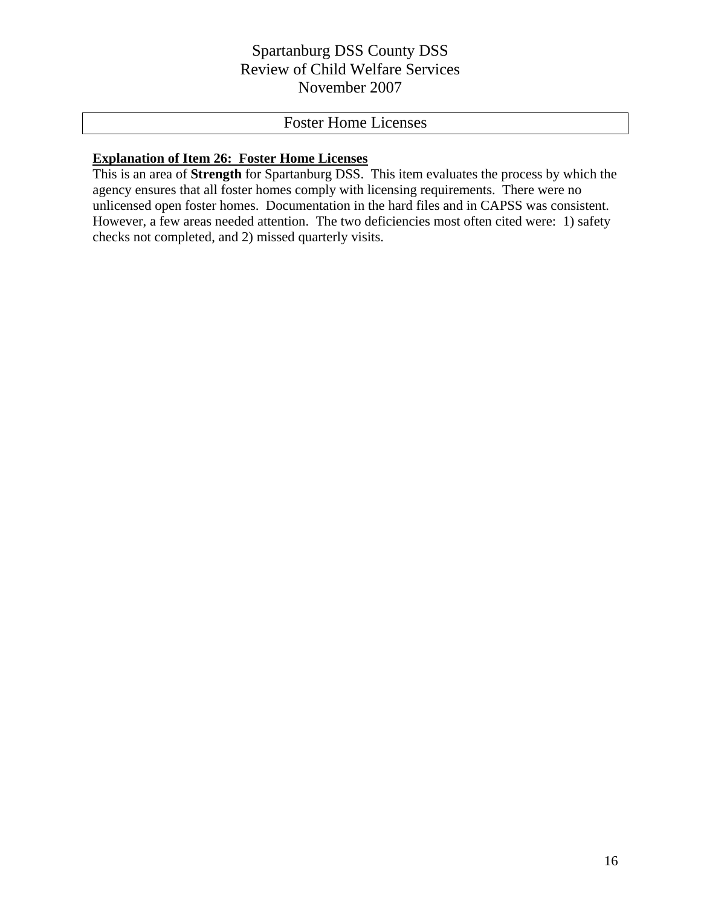# Foster Home Licenses

### **Explanation of Item 26: Foster Home Licenses**

This is an area of **Strength** for Spartanburg DSS. This item evaluates the process by which the agency ensures that all foster homes comply with licensing requirements. There were no unlicensed open foster homes. Documentation in the hard files and in CAPSS was consistent. However, a few areas needed attention. The two deficiencies most often cited were: 1) safety checks not completed, and 2) missed quarterly visits.